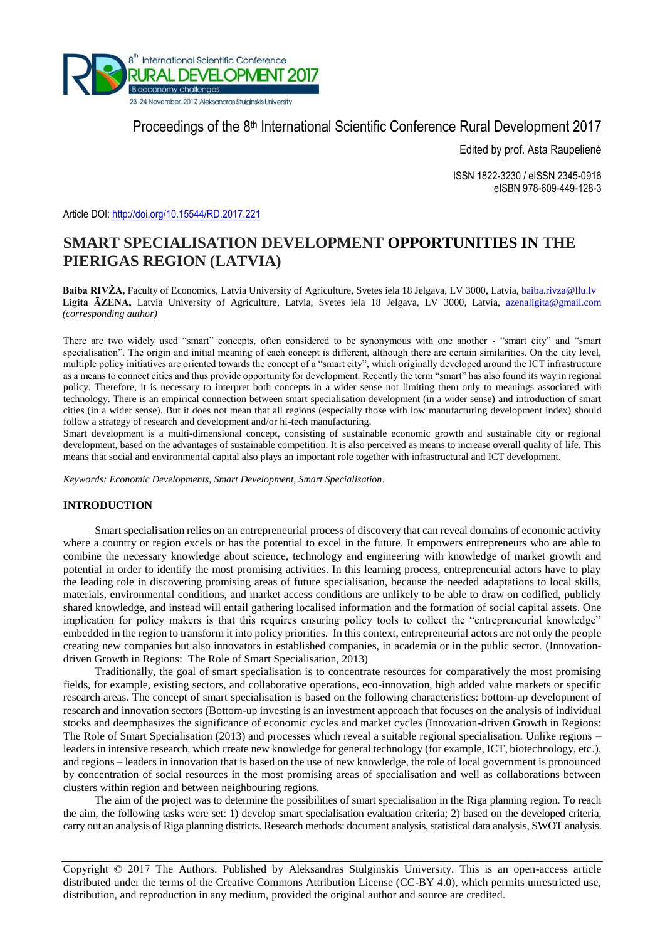

Proceedings of the 8<sup>th</sup> International Scientific Conference Rural Development 2017

Edited by prof. Asta Raupelienė

ISSN 1822-3230 / eISSN 2345-0916 eISBN 978-609-449-128-3

Article DOI:<http://doi.org/10.15544/RD.2017.221>

# **SMART SPECIALISATION DEVELOPMENT OPPORTUNITIES IN THE PIERIGAS REGION (LATVIA)**

**Baiba RIVŽA,** Faculty of Economics, Latvia University of Agriculture, Svetes iela 18 Jelgava, LV 3000, Latvia, [baiba.rivza@llu.lv](mailto:baiba.rivza@llu.lv) **Ligita ĀZENA,** Latvia University of Agriculture, Latvia, Svetes iela 18 Jelgava, LV 3000, Latvia, [azenaligita@gmail.com](mailto:azenaligita@gmail.com) *(corresponding author)*

There are two widely used "smart" concepts, often considered to be synonymous with one another - "smart city" and "smart specialisation". The origin and initial meaning of each concept is different, although there are certain similarities. On the city level, multiple policy initiatives are oriented towards the concept of a "smart city", which originally developed around the ICT infrastructure as a means to connect cities and thus provide opportunity for development. Recently the term "smart" has also found its way in regional policy. Therefore, it is necessary to interpret both concepts in a wider sense not limiting them only to meanings associated with technology. There is an empirical connection between smart specialisation development (in a wider sense) and introduction of smart cities (in a wider sense). But it does not mean that all regions (especially those with low manufacturing development index) should follow a strategy of research and development and/or hi-tech manufacturing.

Smart development is a multi-dimensional concept, consisting of sustainable economic growth and sustainable city or regional development, based on the advantages of sustainable competition. It is also perceived as means to increase overall quality of life. This means that social and environmental capital also plays an important role together with infrastructural and ICT development.

*Keywords: Economic Developments, Smart Development, Smart Specialisation*.

#### **INTRODUCTION**

Smart specialisation relies on an entrepreneurial process of discovery that can reveal domains of economic activity where a country or region excels or has the potential to excel in the future. It empowers entrepreneurs who are able to combine the necessary knowledge about science, technology and engineering with knowledge of market growth and potential in order to identify the most promising activities. In this learning process, entrepreneurial actors have to play the leading role in discovering promising areas of future specialisation, because the needed adaptations to local skills, materials, environmental conditions, and market access conditions are unlikely to be able to draw on codified, publicly shared knowledge, and instead will entail gathering localised information and the formation of social capital assets. One implication for policy makers is that this requires ensuring policy tools to collect the "entrepreneurial knowledge" embedded in the region to transform it into policy priorities. In this context, entrepreneurial actors are not only the people creating new companies but also innovators in established companies, in academia or in the public sector. (Innovationdriven Growth in Regions: The Role of Smart Specialisation, 2013)

Traditionally, the goal of smart specialisation is to concentrate resources for comparatively the most promising fields, for example, existing sectors, and collaborative operations, eco-innovation, high added value markets or specific research areas. The concept of smart specialisation is based on the following characteristics: bottom-up development of research and innovation sectors (Bottom-up investing is an investment approach that focuses on the analysis of individual stocks and deemphasizes the significance of economic cycles and market cycles (Innovation-driven Growth in Regions: The Role of Smart Specialisation (2013) and processes which reveal a suitable regional specialisation. Unlike regions – leaders in intensive research, which create new knowledge for general technology (for example, ICT, biotechnology, etc.), and regions – leaders in innovation that is based on the use of new knowledge, the role of local government is pronounced by concentration of social resources in the most promising areas of specialisation and well as collaborations between clusters within region and between neighbouring regions.

The aim of the project was to determine the possibilities of smart specialisation in the Riga planning region. To reach the aim, the following tasks were set: 1) develop smart specialisation evaluation criteria; 2) based on the developed criteria, carry out an analysis of Riga planning districts. Research methods: document analysis, statistical data analysis, SWOT analysis.

Copyright © 2017 The Authors. Published by Aleksandras Stulginskis University. This is an open-access article distributed under the terms of the Creative Commons Attribution License (CC-BY 4.0), which permits unrestricted use, distribution, and reproduction in any medium, provided the original author and source are credited.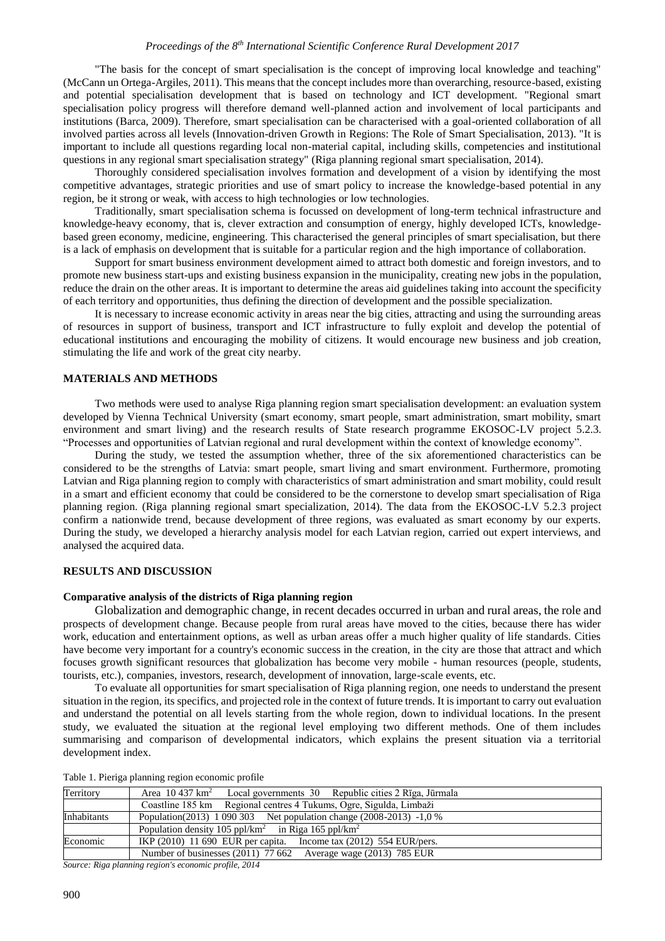#### *Proceedings of the 8th International Scientific Conference Rural Development 2017*

"The basis for the concept of smart specialisation is the concept of improving local knowledge and teaching" (McCann un Ortega-Argiles, 2011). This means that the concept includes more than overarching, resource-based, existing and potential specialisation development that is based on technology and ICT development. "Regional smart specialisation policy progress will therefore demand well-planned action and involvement of local participants and institutions (Barca, 2009). Therefore, smart specialisation can be characterised with a goal-oriented collaboration of all involved parties across all levels (Innovation-driven Growth in Regions: The Role of Smart Specialisation, 2013). "It is important to include all questions regarding local non-material capital, including skills, competencies and institutional questions in any regional smart specialisation strategy" (Riga planning regional smart specialisation, 2014).

Thoroughly considered specialisation involves formation and development of a vision by identifying the most competitive advantages, strategic priorities and use of smart policy to increase the knowledge-based potential in any region, be it strong or weak, with access to high technologies or low technologies.

Traditionally, smart specialisation schema is focussed on development of long-term technical infrastructure and knowledge-heavy economy, that is, clever extraction and consumption of energy, highly developed ICTs, knowledgebased green economy, medicine, engineering. This characterised the general principles of smart specialisation, but there is a lack of emphasis on development that is suitable for a particular region and the high importance of collaboration.

Support for smart business environment development aimed to attract both domestic and foreign investors, and to promote new business start-ups and existing business expansion in the municipality, creating new jobs in the population, reduce the drain on the other areas. It is important to determine the areas aid guidelines taking into account the specificity of each territory and opportunities, thus defining the direction of development and the possible specialization.

It is necessary to increase economic activity in areas near the big cities, attracting and using the surrounding areas of resources in support of business, transport and ICT infrastructure to fully exploit and develop the potential of educational institutions and encouraging the mobility of citizens. It would encourage new business and job creation, stimulating the life and work of the great city nearby.

## **MATERIALS AND METHODS**

Two methods were used to analyse Riga planning region smart specialisation development: an evaluation system developed by Vienna Technical University (smart economy, smart people, smart administration, smart mobility, smart environment and smart living) and the research results of State research programme EKOSOC-LV project 5.2.3. "Processes and opportunities of Latvian regional and rural development within the context of knowledge economy".

During the study, we tested the assumption whether, three of the six aforementioned characteristics can be considered to be the strengths of Latvia: smart people, smart living and smart environment. Furthermore, promoting Latvian and Riga planning region to comply with characteristics of smart administration and smart mobility, could result in a smart and efficient economy that could be considered to be the cornerstone to develop smart specialisation of Riga planning region. (Riga planning regional smart specialization, 2014). The data from the EKOSOC-LV 5.2.3 project confirm a nationwide trend, because development of three regions, was evaluated as smart economy by our experts. During the study, we developed a hierarchy analysis model for each Latvian region, carried out expert interviews, and analysed the acquired data.

#### **RESULTS AND DISCUSSION**

## **Comparative analysis of the districts of Riga planning region**

Globalization and demographic change, in recent decades occurred in urban and rural areas, the role and prospects of development change. Because people from rural areas have moved to the cities, because there has wider work, education and entertainment options, as well as urban areas offer a much higher quality of life standards. Cities have become very important for a country's economic success in the creation, in the city are those that attract and which focuses growth significant resources that globalization has become very mobile - human resources (people, students, tourists, etc.), companies, investors, research, development of innovation, large-scale events, etc.

To evaluate all opportunities for smart specialisation of Riga planning region, one needs to understand the present situation in the region, its specifics, and projected role in the context of future trends. It is important to carry out evaluation and understand the potential on all levels starting from the whole region, down to individual locations. In the present study, we evaluated the situation at the regional level employing two different methods. One of them includes summarising and comparison of developmental indicators, which explains the present situation via a territorial development index.

|  |  | Table 1. Pieriga planning region economic profile |  |
|--|--|---------------------------------------------------|--|
|  |  |                                                   |  |

| Territory   | Area 10 437 km <sup>2</sup> Local governments 30 Republic cities 2 Rīga, Jūrmala |  |  |  |  |  |
|-------------|----------------------------------------------------------------------------------|--|--|--|--|--|
|             | Coastline 185 km Regional centres 4 Tukums, Ogre, Sigulda, Limbaži               |  |  |  |  |  |
| Inhabitants | Population(2013) 1 090 303 Net population change (2008-2013) -1,0 %              |  |  |  |  |  |
|             | Population density 105 ppl/km <sup>2</sup> in Riga 165 ppl/km <sup>2</sup>       |  |  |  |  |  |
| Economic    | IKP $(2010)$ 11 690 EUR per capita. Income tax $(2012)$ 554 EUR/pers.            |  |  |  |  |  |
|             | Number of businesses (2011) 77 662 Average wage (2013) 785 EUR                   |  |  |  |  |  |

*Source: Riga planning region's economic profile, 2014*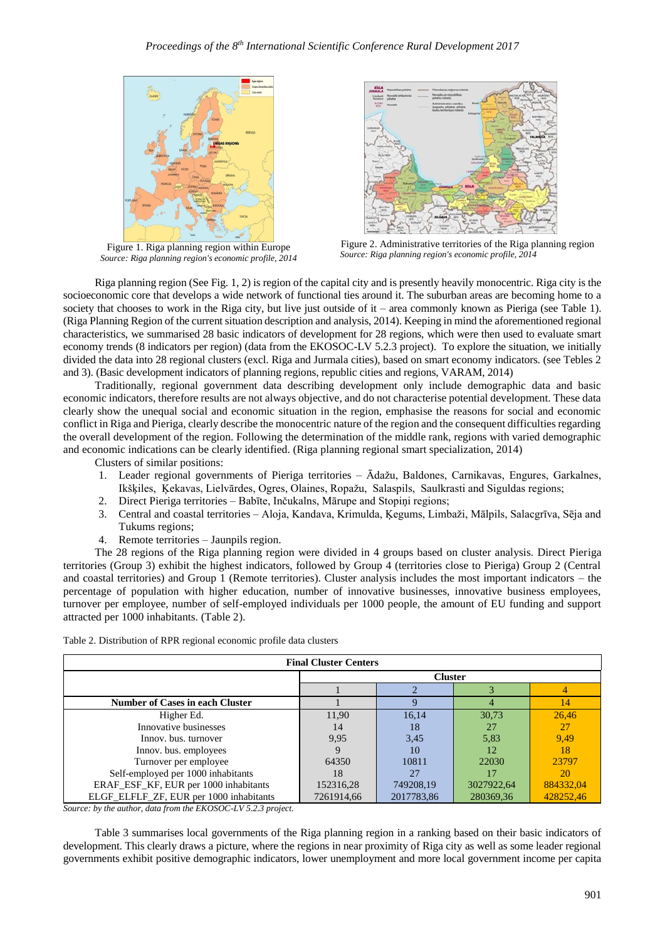

Figure 1. Riga planning region within Europe *Source: Riga planning region's economic profile, 2014*



Figure 2. Administrative territories of the Riga planning region *Source: Riga planning region's economic profile, 2014*

Riga planning region (See Fig. 1, 2) is region of the capital city and is presently heavily monocentric. Riga city is the socioeconomic core that develops a wide network of functional ties around it. The suburban areas are becoming home to a society that chooses to work in the Riga city, but live just outside of it – area commonly known as Pieriga (see Table 1). (Riga Planning Region of the current situation description and analysis, 2014). Keeping in mind the aforementioned regional characteristics, we summarised 28 basic indicators of development for 28 regions, which were then used to evaluate smart economy trends (8 indicators per region) (data from the EKOSOC-LV 5.2.3 project). To explore the situation, we initially divided the data into 28 regional clusters (excl. Riga and Jurmala cities), based on smart economy indicators. (see Tebles 2 and 3). (Basic development indicators of planning regions, republic cities and regions, VARAM, 2014)

Traditionally, regional government data describing development only include demographic data and basic economic indicators, therefore results are not always objective, and do not characterise potential development. These data clearly show the unequal social and economic situation in the region, emphasise the reasons for social and economic conflict in Riga and Pieriga, clearly describe the monocentric nature of the region and the consequent difficulties regarding the overall development of the region. Following the determination of the middle rank, regions with varied demographic and economic indications can be clearly identified. (Riga planning regional smart specialization, 2014)

Clusters of similar positions:

- 1. Leader regional governments of Pieriga territories Ādažu, Baldones, Carnikavas, Engures, Garkalnes, Ikšķiles, Ķekavas, Lielvārdes, Ogres, Olaines, Ropažu, Salaspils, Saulkrasti and Siguldas regions;
- 2. Direct Pieriga territories Babīte, Inčukalns, Mārupe and Stopiņi regions;
- 3. Central and coastal territories Aloja, Kandava, Krimulda, Ķegums, Limbaži, Mālpils, Salacgrīva, Sēja and Tukums regions;
- 4. Remote territories Jaunpils region.

The 28 regions of the Riga planning region were divided in 4 groups based on cluster analysis. Direct Pieriga territories (Group 3) exhibit the highest indicators, followed by Group 4 (territories close to Pieriga) Group 2 (Central and coastal territories) and Group 1 (Remote territories). Cluster analysis includes the most important indicators – the percentage of population with higher education, number of innovative businesses, innovative business employees, turnover per employee, number of self-employed individuals per 1000 people, the amount of EU funding and support attracted per 1000 inhabitants. (Table 2).

| <b>Final Cluster Centers</b>            |                |            |            |           |  |  |  |  |
|-----------------------------------------|----------------|------------|------------|-----------|--|--|--|--|
|                                         | <b>Cluster</b> |            |            |           |  |  |  |  |
|                                         |                |            |            |           |  |  |  |  |
| <b>Number of Cases in each Cluster</b>  |                |            |            | 14        |  |  |  |  |
| Higher Ed.                              | 11,90          | 16.14      | 30,73      | 26,46     |  |  |  |  |
| Innovative businesses                   | 14             | 18         | 27         | 27        |  |  |  |  |
| Innov. bus. turnover                    | 9,95           | 3,45       | 5,83       | 9,49      |  |  |  |  |
| Innov. bus. employees                   |                | 10         | 12         | 18        |  |  |  |  |
| Turnover per employee                   | 64350          | 10811      | 22030      | 23797     |  |  |  |  |
| Self-employed per 1000 inhabitants      | 18             |            |            | 20        |  |  |  |  |
| ERAF_ESF_KF, EUR per 1000 inhabitants   | 152316,28      | 749208,19  | 3027922,64 | 884332,04 |  |  |  |  |
| ELGF_ELFLF_ZF, EUR per 1000 inhabitants | 7261914.66     | 2017783,86 | 280369.36  | 428252.46 |  |  |  |  |

Table 2. Distribution of RPR regional economic profile data clusters

*Source: by the author, data from the EKOSOC-LV 5.2.3 project.*

Table 3 summarises local governments of the Riga planning region in a ranking based on their basic indicators of development. This clearly draws a picture, where the regions in near proximity of Riga city as well as some leader regional governments exhibit positive demographic indicators, lower unemployment and more local government income per capita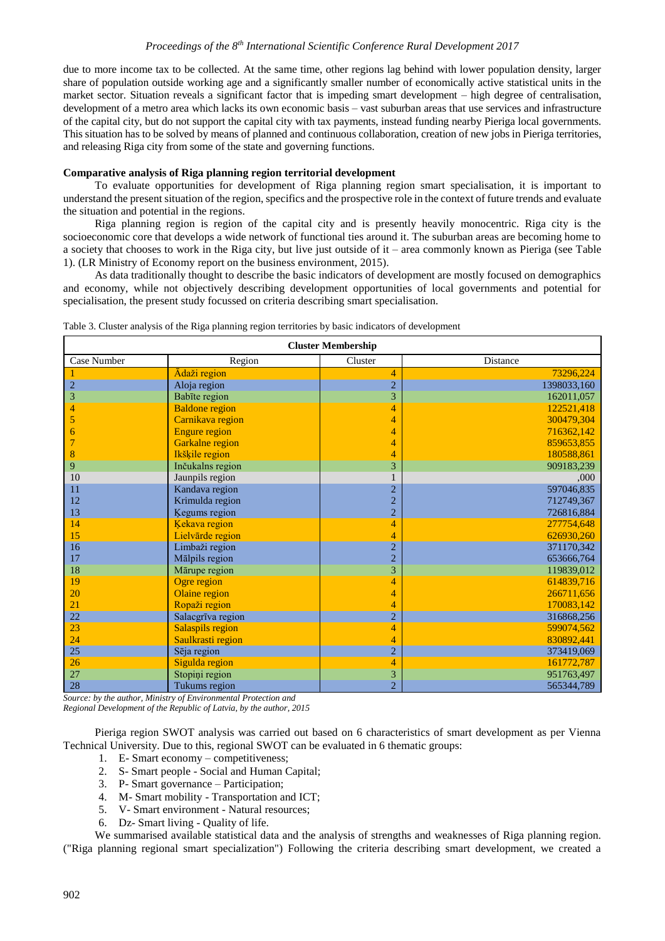due to more income tax to be collected. At the same time, other regions lag behind with lower population density, larger share of population outside working age and a significantly smaller number of economically active statistical units in the market sector. Situation reveals a significant factor that is impeding smart development – high degree of centralisation, development of a metro area which lacks its own economic basis – vast suburban areas that use services and infrastructure of the capital city, but do not support the capital city with tax payments, instead funding nearby Pieriga local governments. This situation has to be solved by means of planned and continuous collaboration, creation of new jobs in Pieriga territories, and releasing Riga city from some of the state and governing functions.

#### **Comparative analysis of Riga planning region territorial development**

To evaluate opportunities for development of Riga planning region smart specialisation, it is important to understand the present situation of the region, specifics and the prospective role in the context of future trends and evaluate the situation and potential in the regions.

Riga planning region is region of the capital city and is presently heavily monocentric. Riga city is the socioeconomic core that develops a wide network of functional ties around it. The suburban areas are becoming home to a society that chooses to work in the Riga city, but live just outside of it – area commonly known as Pieriga (see Table 1). (LR Ministry of Economy report on the business environment, 2015).

As data traditionally thought to describe the basic indicators of development are mostly focused on demographics and economy, while not objectively describing development opportunities of local governments and potential for specialisation, the present study focussed on criteria describing smart specialisation.

| <b>Cluster Membership</b> |                         |                |                 |  |  |  |  |
|---------------------------|-------------------------|----------------|-----------------|--|--|--|--|
| Case Number               | Region                  | Cluster        | <b>Distance</b> |  |  |  |  |
|                           | Ādaži region            | 4              | 73296,224       |  |  |  |  |
| $\overline{2}$            | Aloja region            | $\overline{2}$ | 1398033,160     |  |  |  |  |
| 3                         | Babīte region           | 3              | 162011,057      |  |  |  |  |
| 4                         | <b>Baldone</b> region   | 4              | 122521,418      |  |  |  |  |
| 5                         | Carnikava region        | 4              | 300479,304      |  |  |  |  |
| 6                         | <b>Engure region</b>    | 4              | 716362,142      |  |  |  |  |
| 7                         | <b>Garkalne</b> region  | 4              | 859653,855      |  |  |  |  |
| 8                         | Ikšķile region          | 4              | 180588.861      |  |  |  |  |
| 9                         | Inčukalns region        | 3              | 909183,239      |  |  |  |  |
| 10                        | Jaunpils region         |                | ,000            |  |  |  |  |
| 11                        | Kandava region          | 2              | 597046,835      |  |  |  |  |
| 12                        | Krimulda region         | $\overline{2}$ | 712749,367      |  |  |  |  |
| 13                        | Kegums region           | $\overline{c}$ | 726816,884      |  |  |  |  |
| 14                        | Kekava region           | 4              | 277754.648      |  |  |  |  |
| 15                        | Lielvārde region        | 4              | 626930,260      |  |  |  |  |
| 16                        | Limbaži region          | $\overline{2}$ | 371170,342      |  |  |  |  |
| 17                        | Mālpils region          | $\overline{2}$ | 653666,764      |  |  |  |  |
| 18                        | Mārupe region           | 3              | 119839,012      |  |  |  |  |
| 19                        | Ogre region             | 4              | 614839,716      |  |  |  |  |
| 20                        | Olaine region           | 4              | 266711,656      |  |  |  |  |
| 21                        | Ropaži region           | 4              | 170083,142      |  |  |  |  |
| 22                        | Salacgrīva region       | $\overline{2}$ | 316868,256      |  |  |  |  |
| 23                        | <b>Salaspils region</b> | 4              | 599074,562      |  |  |  |  |
| 24                        | Saulkrasti region       | 4              | 830892,441      |  |  |  |  |
| 25                        | Sēja region             | $\overline{c}$ | 373419,069      |  |  |  |  |
| 26                        | Sigulda region          | 4              | 161772.787      |  |  |  |  |
| 27                        | Stopiņi region          | 3              | 951763,497      |  |  |  |  |
| 28                        | Tukums region           | $\overline{2}$ | 565344,789      |  |  |  |  |

| Table 3. Cluster analysis of the Riga planning region territories by basic indicators of development |  |  |  |
|------------------------------------------------------------------------------------------------------|--|--|--|
|                                                                                                      |  |  |  |
|                                                                                                      |  |  |  |

*Source: by the author, Ministry of Environmental Protection and Regional Development of the Republic of Latvia, by the author, 2015*

Pieriga region SWOT analysis was carried out based on 6 characteristics of smart development as per Vienna Technical University. Due to this, regional SWOT can be evaluated in 6 thematic groups:

- 1. E- Smart economy competitiveness;
- 2. S- Smart people Social and Human Capital;
- 3. P- Smart governance Participation;
- 4. M- Smart mobility Transportation and ICT;
- 5. V- Smart environment Natural resources;
- 6. Dz- Smart living Quality of life.

We summarised available statistical data and the analysis of strengths and weaknesses of Riga planning region. ("Riga planning regional smart specialization") Following the criteria describing smart development, we created a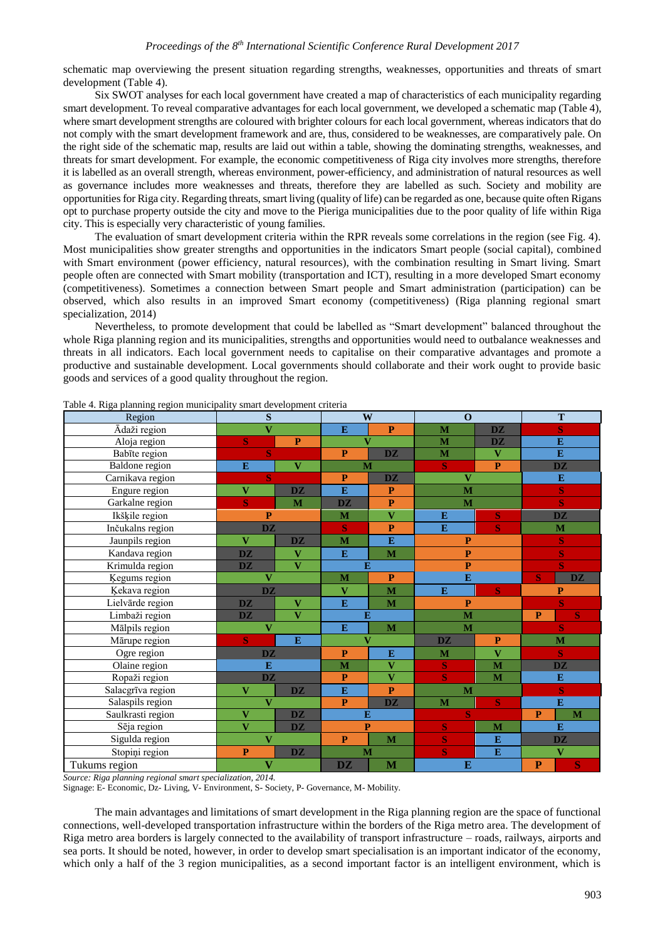schematic map overviewing the present situation regarding strengths, weaknesses, opportunities and threats of smart development (Table 4).

Six SWOT analyses for each local government have created a map of characteristics of each municipality regarding smart development. To reveal comparative advantages for each local government, we developed a schematic map (Table 4), where smart development strengths are coloured with brighter colours for each local government, whereas indicators that do not comply with the smart development framework and are, thus, considered to be weaknesses, are comparatively pale. On the right side of the schematic map, results are laid out within a table, showing the dominating strengths, weaknesses, and threats for smart development. For example, the economic competitiveness of Riga city involves more strengths, therefore it is labelled as an overall strength, whereas environment, power-efficiency, and administration of natural resources as well as governance includes more weaknesses and threats, therefore they are labelled as such. Society and mobility are opportunities for Riga city. Regarding threats, smart living (quality of life) can be regarded as one, because quite often Rigans opt to purchase property outside the city and move to the Pieriga municipalities due to the poor quality of life within Riga city. This is especially very characteristic of young families.

The evaluation of smart development criteria within the RPR reveals some correlations in the region (see Fig. 4). Most municipalities show greater strengths and opportunities in the indicators Smart people (social capital), combined with Smart environment (power efficiency, natural resources), with the combination resulting in Smart living. Smart people often are connected with Smart mobility (transportation and ICT), resulting in a more developed Smart economy (competitiveness). Sometimes a connection between Smart people and Smart administration (participation) can be observed, which also results in an improved Smart economy (competitiveness) (Riga planning regional smart specialization, 2014)

Nevertheless, to promote development that could be labelled as "Smart development" balanced throughout the whole Riga planning region and its municipalities, strengths and opportunities would need to outbalance weaknesses and threats in all indicators. Each local government needs to capitalise on their comparative advantages and promote a productive and sustainable development. Local governments should collaborate and their work ought to provide basic goods and services of a good quality throughout the region.

| Region                | $\mathbf S$                                                  |                         | W                                                 |                                   | $\mathbf{o}$            |                         | T                                 |                                   |  |
|-----------------------|--------------------------------------------------------------|-------------------------|---------------------------------------------------|-----------------------------------|-------------------------|-------------------------|-----------------------------------|-----------------------------------|--|
| Ādaži region          | $\overline{\mathbf{V}}$                                      |                         | E                                                 | $\mathbf{P}$                      | M                       | <b>DZ</b>               |                                   | $\overline{\mathbf{S}}$           |  |
| Aloja region          | $\mathbf{P}$<br>S                                            |                         | $\overline{\mathbf{V}}$                           |                                   | M                       | <b>DZ</b>               | $\bf{E}$                          |                                   |  |
| Babīte region         | S                                                            |                         | P                                                 | <b>DZ</b>                         | M                       | $\overline{\mathbf{V}}$ |                                   | $\mathbf{E}$                      |  |
| <b>Baldone</b> region | E                                                            | $\mathbf{V}$            | M                                                 |                                   | S<br>$\mathbf{P}$       |                         |                                   | $\overline{\mathbf{D}}\mathbf{Z}$ |  |
| Carnikava region      | S                                                            |                         | $\mathbf{P}$<br>$\overline{\mathbf{D}}\mathbf{Z}$ |                                   | $\overline{\mathbf{V}}$ |                         | ${\bf E}$                         |                                   |  |
| Engure region         | $\overline{\mathbf{V}}$                                      | <b>DZ</b>               | E                                                 | $\mathbf{P}$                      | M                       |                         |                                   | $\mathbf S$                       |  |
| Garkalne region       | S                                                            | M                       | <b>DZ</b>                                         | $\mathbf{P}$                      | M                       |                         |                                   | S                                 |  |
| Ikšķile region        | P                                                            |                         | $\bf{M}$                                          | $\overline{\mathbf{V}}$           | E                       | S                       |                                   | $\overline{\mathbf{D}}\mathbf{Z}$ |  |
| Inčukalns region      | $\overline{\mathbf{D}}\mathbf{Z}$                            |                         | S                                                 | $\mathbf{P}$                      | ${\bf E}$               | $\bf S$                 | $\mathbf M$                       |                                   |  |
| Jaunpils region       | $\mathbf{V}$                                                 | <b>DZ</b>               | M                                                 | ${\bf E}$                         | $\mathbf{P}$            |                         | ${\bf S}$                         |                                   |  |
| Kandava region        | <b>DZ</b>                                                    | $\overline{\mathbf{V}}$ | E                                                 | M                                 | $\overline{\mathbf{P}}$ |                         | S                                 |                                   |  |
| Krimulda region       | $\overline{\mathbf{V}}$<br><b>DZ</b>                         |                         | E                                                 |                                   | $\mathbf{P}$            |                         | S                                 |                                   |  |
| <b>Ķegums</b> region  | $\overline{\mathbf{V}}$                                      |                         | M                                                 | $\mathbf{P}$                      | E                       |                         | S                                 | <b>DZ</b>                         |  |
| Ķekava region         | <b>DZ</b>                                                    |                         | $\overline{\mathbf{V}}$                           | M                                 | E                       | <b>S</b>                |                                   | $\overline{\mathbf{P}}$           |  |
| Lielvärde region      | <b>DZ</b>                                                    | V                       | $\overline{E}$                                    | M                                 | $\mathbf{P}$            |                         |                                   | $\overline{\mathbf{S}}$           |  |
| Limbaži region        | <b>DZ</b>                                                    | $\overline{\mathbf{V}}$ | E                                                 |                                   | $\overline{\mathbf{M}}$ |                         | $\mathbf{P}$                      | S                                 |  |
| Mālpils region        | $\overline{\mathbf{V}}$                                      |                         | E                                                 | M                                 | M                       |                         |                                   | S                                 |  |
| Mārupe region         | S                                                            | E                       | $\overline{\mathbf{V}}$                           |                                   | <b>DZ</b>               | $\mathbf{P}$            | M                                 |                                   |  |
| Ogre region           | <b>DZ</b>                                                    |                         | $\mathbf{P}$                                      | E                                 | M                       | $\overline{\mathbf{V}}$ |                                   | S                                 |  |
| Olaine region         | E                                                            |                         | M                                                 | $\overline{\mathbf{V}}$           | S                       | $\overline{\mathbf{M}}$ | $\overline{\mathbf{D}\mathbf{Z}}$ |                                   |  |
| Ropaži region         | $\overline{\mathbf{D}\mathbf{Z}}$                            |                         | $\mathbf{P}$                                      | $\overline{\mathbf{V}}$           | S                       | M                       | E                                 |                                   |  |
| Salacgrīva region     | $\overline{\mathbf{V}}$<br><b>DZ</b>                         |                         | E                                                 | $\mathbf{P}$                      | M                       |                         | $\overline{\mathbf{S}}$           |                                   |  |
| Salaspils region      | $\overline{\mathbf{V}}$                                      |                         | $\mathbf{P}$                                      | $\overline{\mathbf{D}\mathbf{Z}}$ | S<br>M                  |                         | E                                 |                                   |  |
| Saulkrasti region     | $\overline{\mathbf{D}\mathbf{Z}}$<br>$\overline{\mathbf{V}}$ |                         | E                                                 |                                   | S                       |                         | $\mathbf{P}$                      | M                                 |  |
| Sēja region           | $\overline{\mathbf{V}}$                                      | <b>DZ</b>               | $\mathbf{P}$                                      |                                   | S                       | M                       |                                   | E                                 |  |
| Sigulda region        | $\overline{\mathbf{V}}$                                      |                         | $\mathbf{P}$                                      | $\mathbf{M}$                      | S                       | E                       |                                   | <b>DZ</b>                         |  |
| Stopiņi region        | P                                                            | <b>DZ</b>               | M                                                 |                                   | $\overline{\mathbf{S}}$ | E                       | $\overline{\mathbf{V}}$           |                                   |  |
| Tukums region         | $\overline{\mathbf{V}}$                                      |                         | <b>DZ</b>                                         | M                                 | $\bf{E}$                |                         | P                                 | S                                 |  |

Table 4. Riga planning region municipality smart development criteria

*Source: Riga planning regional smart specialization, 2014.*

Signage: E- Economic, Dz- Living, V- Environment, S- Society, P- Governance, M- Mobility.

The main advantages and limitations of smart development in the Riga planning region are the space of functional connections, well-developed transportation infrastructure within the borders of the Riga metro area. The development of Riga metro area borders is largely connected to the availability of transport infrastructure – roads, railways, airports and sea ports. It should be noted, however, in order to develop smart specialisation is an important indicator of the economy, which only a half of the 3 region municipalities, as a second important factor is an intelligent environment, which is